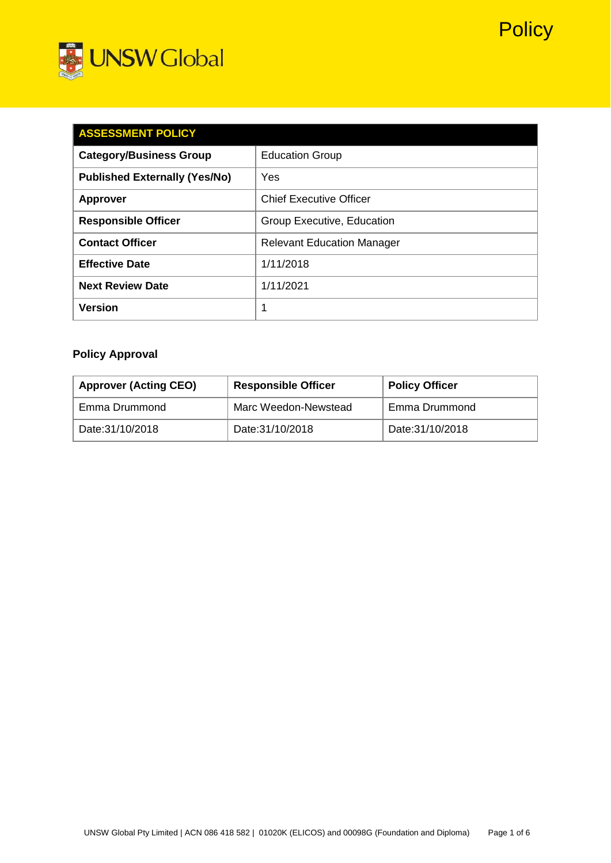



| <b>ASSESSMENT POLICY</b>             |                                   |  |  |  |
|--------------------------------------|-----------------------------------|--|--|--|
| <b>Category/Business Group</b>       | <b>Education Group</b>            |  |  |  |
| <b>Published Externally (Yes/No)</b> | Yes                               |  |  |  |
| <b>Approver</b>                      | <b>Chief Executive Officer</b>    |  |  |  |
| <b>Responsible Officer</b>           | Group Executive, Education        |  |  |  |
| <b>Contact Officer</b>               | <b>Relevant Education Manager</b> |  |  |  |
| <b>Effective Date</b>                | 1/11/2018                         |  |  |  |
| <b>Next Review Date</b>              | 1/11/2021                         |  |  |  |
| <b>Version</b>                       | 1                                 |  |  |  |

# **Policy Approval**

| <b>Approver (Acting CEO)</b> | <b>Responsible Officer</b> | <b>Policy Officer</b> |
|------------------------------|----------------------------|-----------------------|
| Emma Drummond                | Marc Weedon-Newstead       | Emma Drummond         |
| Date: 31/10/2018             | Date: 31/10/2018           | Date: 31/10/2018      |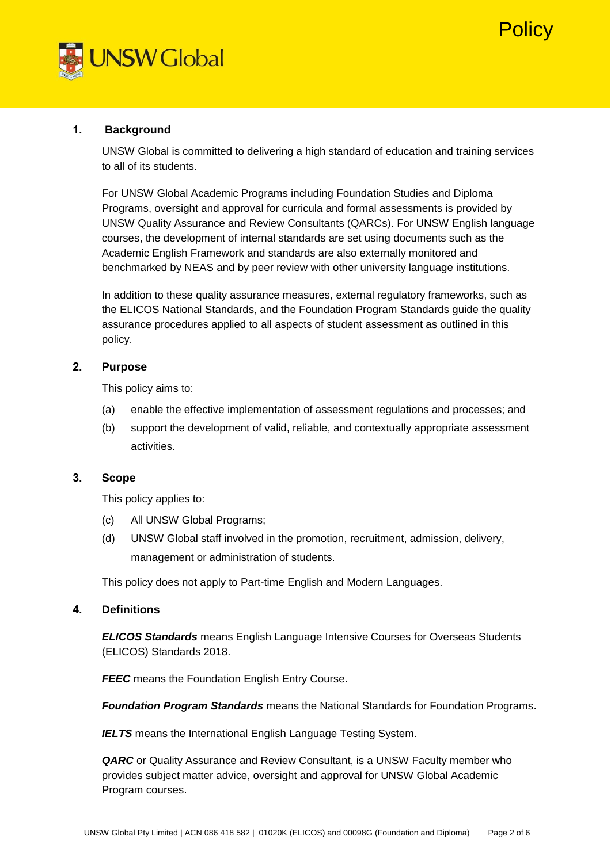



## **1. Background**

UNSW Global is committed to delivering a high standard of education and training services to all of its students.

For UNSW Global Academic Programs including Foundation Studies and Diploma Programs, oversight and approval for curricula and formal assessments is provided by UNSW Quality Assurance and Review Consultants (QARCs). For UNSW English language courses, the development of internal standards are set using documents such as the Academic English Framework and standards are also externally monitored and benchmarked by NEAS and by peer review with other university language institutions.

In addition to these quality assurance measures, external regulatory frameworks, such as the ELICOS National Standards, and the Foundation Program Standards guide the quality assurance procedures applied to all aspects of student assessment as outlined in this policy.

# **2. Purpose**

This policy aims to:

- (a) enable the effective implementation of assessment regulations and processes; and
- (b) support the development of valid, reliable, and contextually appropriate assessment activities.

# **3. Scope**

This policy applies to:

- (c) All UNSW Global Programs;
- (d) UNSW Global staff involved in the promotion, recruitment, admission, delivery, management or administration of students.

This policy does not apply to Part-time English and Modern Languages.

## **4. Definitions**

*ELICOS Standards* means English Language Intensive Courses for Overseas Students (ELICOS) Standards 2018.

**FEEC** means the Foundation English Entry Course.

*Foundation Program Standards* means the National Standards for Foundation Programs.

**IELTS** means the International English Language Testing System.

*QARC* or Quality Assurance and Review Consultant, is a UNSW Faculty member who provides subject matter advice, oversight and approval for UNSW Global Academic Program courses.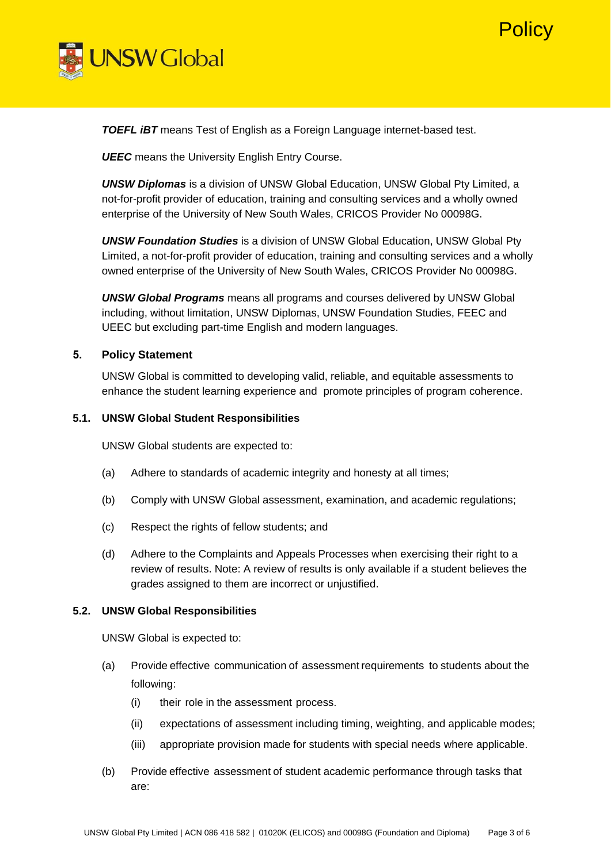



*TOEFL iBT* means Test of English as a Foreign Language internet-based test.

*UEEC* means the University English Entry Course.

*UNSW Diplomas* is a division of UNSW Global Education, UNSW Global Pty Limited, a not-for-profit provider of education, training and consulting services and a wholly owned enterprise of the University of New South Wales, CRICOS Provider No 00098G.

*UNSW Foundation Studies* is a division of UNSW Global Education, UNSW Global Pty Limited, a not-for-profit provider of education, training and consulting services and a wholly owned enterprise of the University of New South Wales, CRICOS Provider No 00098G.

*UNSW Global Programs* means all programs and courses delivered by UNSW Global including, without limitation, UNSW Diplomas, UNSW Foundation Studies, FEEC and UEEC but excluding part-time English and modern languages.

#### **5. Policy Statement**

UNSW Global is committed to developing valid, reliable, and equitable assessments to enhance the student learning experience and promote principles of program coherence.

#### **5.1. UNSW Global Student Responsibilities**

UNSW Global students are expected to:

- (a) Adhere to standards of academic integrity and honesty at all times;
- (b) Comply with UNSW Global assessment, examination, and academic regulations;
- (c) Respect the rights of fellow students; and
- (d) Adhere to the Complaints and Appeals Processes when exercising their right to a review of results. Note: A review of results is only available if a student believes the grades assigned to them are incorrect or unjustified.

#### **5.2. UNSW Global Responsibilities**

UNSW Global is expected to:

- (a) Provide effective communication of assessment requirements to students about the following:
	- (i) their role in the assessment process.
	- (ii) expectations of assessment including timing, weighting, and applicable modes;
	- (iii) appropriate provision made for students with special needs where applicable.
- (b) Provide effective assessment of student academic performance through tasks that are: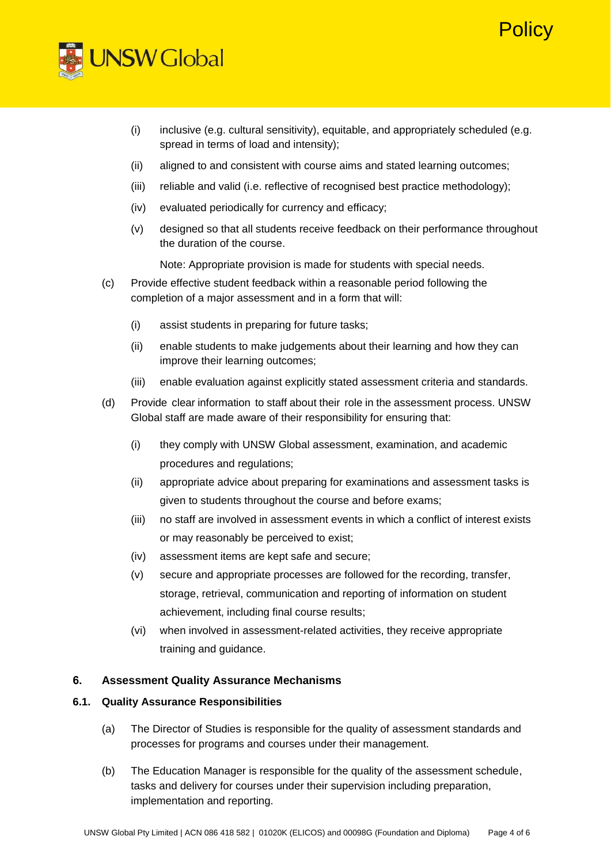# Policy



- (i) inclusive (e.g. cultural sensitivity), equitable, and appropriately scheduled (e.g. spread in terms of load and intensity);
- (ii) aligned to and consistent with course aims and stated learning outcomes;
- (iii) reliable and valid (i.e. reflective of recognised best practice methodology);
- (iv) evaluated periodically for currency and efficacy;
- (v) designed so that all students receive feedback on their performance throughout the duration of the course.

Note: Appropriate provision is made for students with special needs.

- (c) Provide effective student feedback within a reasonable period following the completion of a major assessment and in a form that will:
	- (i) assist students in preparing for future tasks;
	- (ii) enable students to make judgements about their learning and how they can improve their learning outcomes;
	- (iii) enable evaluation against explicitly stated assessment criteria and standards.
- (d) Provide clear information to staff about their role in the assessment process. UNSW Global staff are made aware of their responsibility for ensuring that:
	- (i) they comply with UNSW Global assessment, examination, and academic procedures and regulations;
	- (ii) appropriate advice about preparing for examinations and assessment tasks is given to students throughout the course and before exams;
	- (iii) no staff are involved in assessment events in which a conflict of interest exists or may reasonably be perceived to exist;
	- (iv) assessment items are kept safe and secure;
	- (v) secure and appropriate processes are followed for the recording, transfer, storage, retrieval, communication and reporting of information on student achievement, including final course results;
	- (vi) when involved in assessment-related activities, they receive appropriate training and guidance.

## **6. Assessment Quality Assurance Mechanisms**

## **6.1. Quality Assurance Responsibilities**

- (a) The Director of Studies is responsible for the quality of assessment standards and processes for programs and courses under their management.
- (b) The Education Manager is responsible for the quality of the assessment schedule, tasks and delivery for courses under their supervision including preparation, implementation and reporting.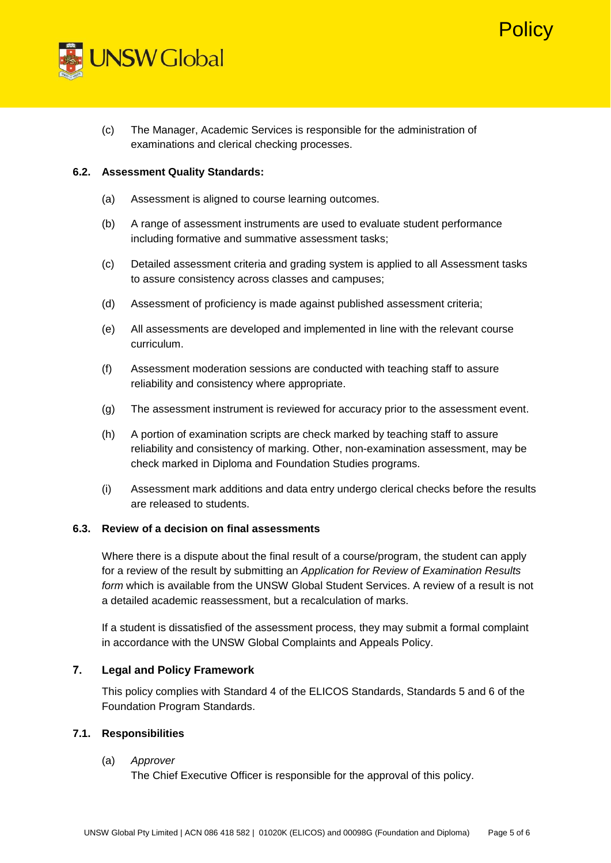



(c) The Manager, Academic Services is responsible for the administration of examinations and clerical checking processes.

#### **6.2. Assessment Quality Standards:**

- (a) Assessment is aligned to course learning outcomes.
- (b) A range of assessment instruments are used to evaluate student performance including formative and summative assessment tasks;
- (c) Detailed assessment criteria and grading system is applied to all Assessment tasks to assure consistency across classes and campuses;
- (d) Assessment of proficiency is made against published assessment criteria;
- (e) All assessments are developed and implemented in line with the relevant course curriculum.
- (f) Assessment moderation sessions are conducted with teaching staff to assure reliability and consistency where appropriate.
- (g) The assessment instrument is reviewed for accuracy prior to the assessment event.
- (h) A portion of examination scripts are check marked by teaching staff to assure reliability and consistency of marking. Other, non-examination assessment, may be check marked in Diploma and Foundation Studies programs.
- (i) Assessment mark additions and data entry undergo clerical checks before the results are released to students.

## **6.3. Review of a decision on final assessments**

Where there is a dispute about the final result of a course/program, the student can apply for a review of the result by submitting an *Application for Review of Examination Results form* which is available from the UNSW Global Student Services. A review of a result is not a detailed academic reassessment, but a recalculation of marks.

If a student is dissatisfied of the assessment process, they may submit a formal complaint in accordance with the UNSW Global Complaints and Appeals Policy.

## **7. Legal and Policy Framework**

This policy complies with Standard 4 of the ELICOS Standards, Standards 5 and 6 of the Foundation Program Standards.

#### **7.1. Responsibilities**

#### (a) *Approver*

The Chief Executive Officer is responsible for the approval of this policy.